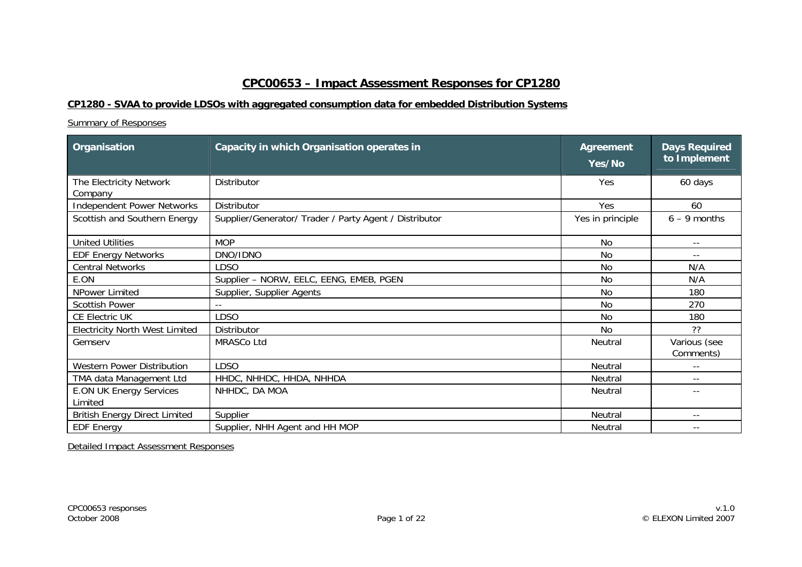## **CPC00653 – Impact Assessment Responses for CP1280**

## **CP1280 - SVAA to provide LDSOs with aggregated consumption data for embedded Distribution Systems**

## Summary of Responses

| Organisation                              | Capacity in which Organisation operates in             | <b>Agreement</b><br>Yes/No | <b>Days Required</b><br>to Implement |
|-------------------------------------------|--------------------------------------------------------|----------------------------|--------------------------------------|
| The Electricity Network<br>Company        | Distributor                                            | Yes                        | 60 days                              |
| <b>Independent Power Networks</b>         | Distributor                                            | Yes                        | 60                                   |
| Scottish and Southern Energy              | Supplier/Generator/ Trader / Party Agent / Distributor | Yes in principle           | $6 - 9$ months                       |
| <b>United Utilities</b>                   | <b>MOP</b>                                             | <b>No</b>                  | $- -$                                |
| <b>EDF Energy Networks</b>                | DNO/IDNO                                               | <b>No</b>                  | $\sim$ $\sim$                        |
| <b>Central Networks</b>                   | <b>LDSO</b>                                            | <b>No</b>                  | N/A                                  |
| E.ON                                      | Supplier - NORW, EELC, EENG, EMEB, PGEN                | <b>No</b>                  | N/A                                  |
| NPower Limited                            | Supplier, Supplier Agents                              | <b>No</b>                  | 180                                  |
| <b>Scottish Power</b>                     |                                                        | <b>No</b>                  | 270                                  |
| CE Electric UK                            | <b>LDSO</b>                                            | <b>No</b>                  | 180                                  |
| <b>Electricity North West Limited</b>     | Distributor                                            | <b>No</b>                  | ??                                   |
| Gemserv                                   | MRASCo Ltd                                             | Neutral                    | Various (see<br>Comments)            |
| <b>Western Power Distribution</b>         | <b>LDSO</b>                                            | Neutral                    | $ -$                                 |
| TMA data Management Ltd                   | HHDC, NHHDC, HHDA, NHHDA                               | Neutral                    | $ -$                                 |
| <b>E.ON UK Energy Services</b><br>Limited | NHHDC, DA MOA                                          | Neutral                    | $ -$                                 |
| <b>British Energy Direct Limited</b>      | Supplier                                               | Neutral                    | $\overline{\phantom{a}}$ .           |
| <b>EDF Energy</b>                         | Supplier, NHH Agent and HH MOP                         | Neutral                    | $\overline{\phantom{a}}$ .           |

Detailed Impact Assessment Responses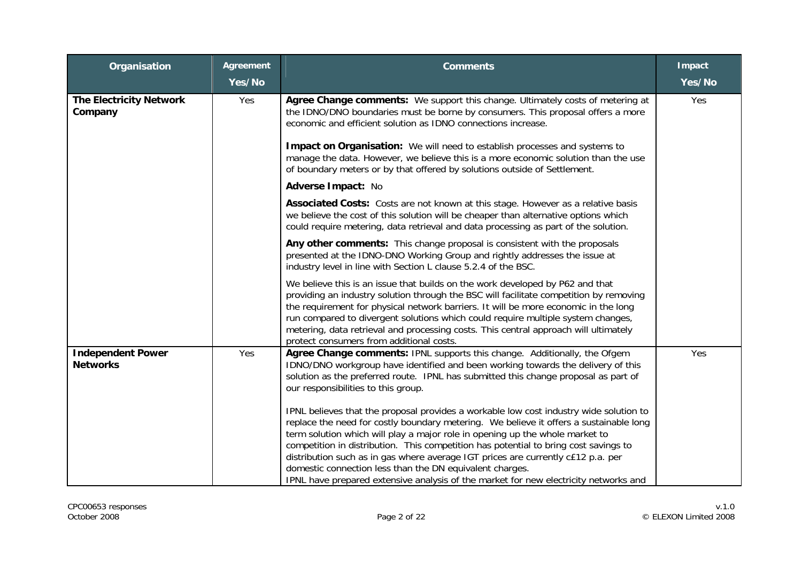| Organisation                                | <b>Agreement</b> | <b>Comments</b>                                                                                                                                                                                                                                                                                                                                                                                                                                                                                                                                                                                  | Impact |
|---------------------------------------------|------------------|--------------------------------------------------------------------------------------------------------------------------------------------------------------------------------------------------------------------------------------------------------------------------------------------------------------------------------------------------------------------------------------------------------------------------------------------------------------------------------------------------------------------------------------------------------------------------------------------------|--------|
|                                             | Yes/No           |                                                                                                                                                                                                                                                                                                                                                                                                                                                                                                                                                                                                  | Yes/No |
| <b>The Electricity Network</b><br>Company   | Yes              | Agree Change comments: We support this change. Ultimately costs of metering at<br>the IDNO/DNO boundaries must be borne by consumers. This proposal offers a more<br>economic and efficient solution as IDNO connections increase.<br><b>Impact on Organisation:</b> We will need to establish processes and systems to<br>manage the data. However, we believe this is a more economic solution than the use<br>of boundary meters or by that offered by solutions outside of Settlement.                                                                                                       | Yes    |
|                                             |                  | Adverse Impact: No                                                                                                                                                                                                                                                                                                                                                                                                                                                                                                                                                                               |        |
|                                             |                  | Associated Costs: Costs are not known at this stage. However as a relative basis<br>we believe the cost of this solution will be cheaper than alternative options which<br>could require metering, data retrieval and data processing as part of the solution.                                                                                                                                                                                                                                                                                                                                   |        |
|                                             |                  | Any other comments: This change proposal is consistent with the proposals<br>presented at the IDNO-DNO Working Group and rightly addresses the issue at<br>industry level in line with Section L clause 5.2.4 of the BSC.                                                                                                                                                                                                                                                                                                                                                                        |        |
|                                             |                  | We believe this is an issue that builds on the work developed by P62 and that<br>providing an industry solution through the BSC will facilitate competition by removing<br>the requirement for physical network barriers. It will be more economic in the long<br>run compared to divergent solutions which could require multiple system changes,<br>metering, data retrieval and processing costs. This central approach will ultimately<br>protect consumers from additional costs.                                                                                                           |        |
| <b>Independent Power</b><br><b>Networks</b> | Yes              | Agree Change comments: IPNL supports this change. Additionally, the Ofgem<br>IDNO/DNO workgroup have identified and been working towards the delivery of this<br>solution as the preferred route. IPNL has submitted this change proposal as part of<br>our responsibilities to this group.                                                                                                                                                                                                                                                                                                      | Yes    |
|                                             |                  | IPNL believes that the proposal provides a workable low cost industry wide solution to<br>replace the need for costly boundary metering. We believe it offers a sustainable long<br>term solution which will play a major role in opening up the whole market to<br>competition in distribution. This competition has potential to bring cost savings to<br>distribution such as in gas where average IGT prices are currently c£12 p.a. per<br>domestic connection less than the DN equivalent charges.<br>IPNL have prepared extensive analysis of the market for new electricity networks and |        |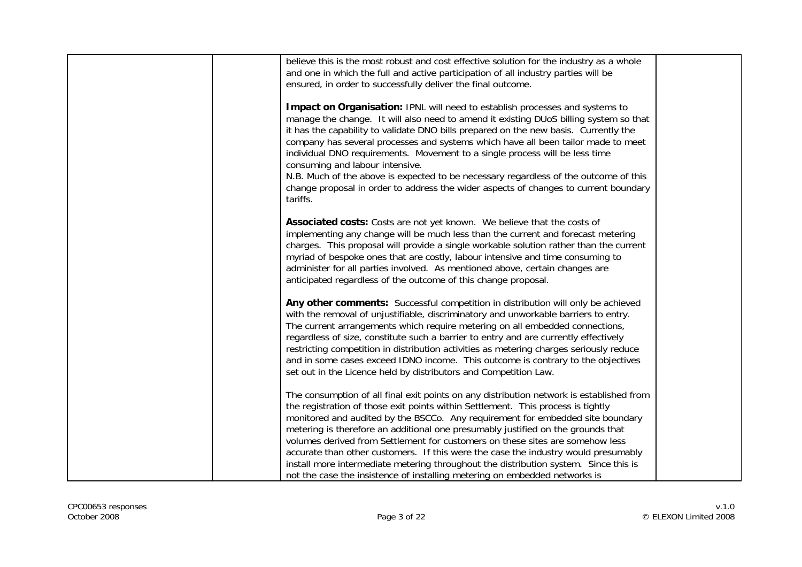| believe this is the most robust and cost effective solution for the industry as a whole  |  |
|------------------------------------------------------------------------------------------|--|
| and one in which the full and active participation of all industry parties will be       |  |
| ensured, in order to successfully deliver the final outcome.                             |  |
|                                                                                          |  |
| Impact on Organisation: IPNL will need to establish processes and systems to             |  |
| manage the change. It will also need to amend it existing DUoS billing system so that    |  |
| it has the capability to validate DNO bills prepared on the new basis. Currently the     |  |
| company has several processes and systems which have all been tailor made to meet        |  |
| individual DNO requirements. Movement to a single process will be less time              |  |
| consuming and labour intensive.                                                          |  |
| N.B. Much of the above is expected to be necessary regardless of the outcome of this     |  |
| change proposal in order to address the wider aspects of changes to current boundary     |  |
|                                                                                          |  |
| tariffs.                                                                                 |  |
|                                                                                          |  |
| Associated costs: Costs are not yet known. We believe that the costs of                  |  |
| implementing any change will be much less than the current and forecast metering         |  |
| charges. This proposal will provide a single workable solution rather than the current   |  |
| myriad of bespoke ones that are costly, labour intensive and time consuming to           |  |
| administer for all parties involved. As mentioned above, certain changes are             |  |
| anticipated regardless of the outcome of this change proposal.                           |  |
|                                                                                          |  |
| Any other comments: Successful competition in distribution will only be achieved         |  |
| with the removal of unjustifiable, discriminatory and unworkable barriers to entry.      |  |
| The current arrangements which require metering on all embedded connections,             |  |
| regardless of size, constitute such a barrier to entry and are currently effectively     |  |
| restricting competition in distribution activities as metering charges seriously reduce  |  |
| and in some cases exceed IDNO income. This outcome is contrary to the objectives         |  |
| set out in the Licence held by distributors and Competition Law.                         |  |
|                                                                                          |  |
| The consumption of all final exit points on any distribution network is established from |  |
| the registration of those exit points within Settlement. This process is tightly         |  |
| monitored and audited by the BSCCo. Any requirement for embedded site boundary           |  |
| metering is therefore an additional one presumably justified on the grounds that         |  |
| volumes derived from Settlement for customers on these sites are somehow less            |  |
| accurate than other customers. If this were the case the industry would presumably       |  |
| install more intermediate metering throughout the distribution system. Since this is     |  |
|                                                                                          |  |
| not the case the insistence of installing metering on embedded networks is               |  |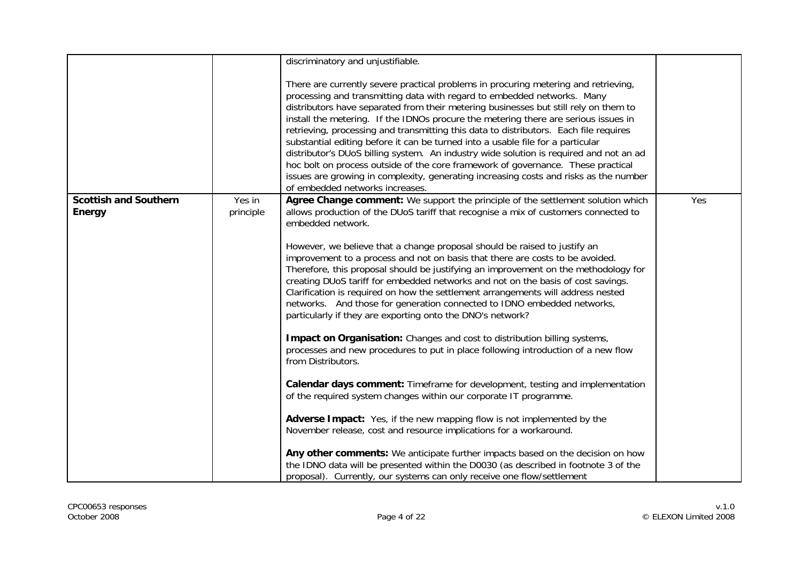|                              |           | discriminatory and unjustifiable.                                                                                                                                                                                                                                                                                                                                                                                                                                                                                                                                                                                                                                                                                                                                                                                                   |     |
|------------------------------|-----------|-------------------------------------------------------------------------------------------------------------------------------------------------------------------------------------------------------------------------------------------------------------------------------------------------------------------------------------------------------------------------------------------------------------------------------------------------------------------------------------------------------------------------------------------------------------------------------------------------------------------------------------------------------------------------------------------------------------------------------------------------------------------------------------------------------------------------------------|-----|
|                              |           | There are currently severe practical problems in procuring metering and retrieving,<br>processing and transmitting data with regard to embedded networks. Many<br>distributors have separated from their metering businesses but still rely on them to<br>install the metering. If the IDNOs procure the metering there are serious issues in<br>retrieving, processing and transmitting this data to distributors. Each file requires<br>substantial editing before it can be turned into a usable file for a particular<br>distributor's DUoS billing system. An industry wide solution is required and not an ad<br>hoc bolt on process outside of the core framework of governance. These practical<br>issues are growing in complexity, generating increasing costs and risks as the number<br>of embedded networks increases. |     |
| <b>Scottish and Southern</b> | Yes in    | Agree Change comment: We support the principle of the settlement solution which                                                                                                                                                                                                                                                                                                                                                                                                                                                                                                                                                                                                                                                                                                                                                     | Yes |
| <b>Energy</b>                | principle | allows production of the DUoS tariff that recognise a mix of customers connected to<br>embedded network.                                                                                                                                                                                                                                                                                                                                                                                                                                                                                                                                                                                                                                                                                                                            |     |
|                              |           |                                                                                                                                                                                                                                                                                                                                                                                                                                                                                                                                                                                                                                                                                                                                                                                                                                     |     |
|                              |           | However, we believe that a change proposal should be raised to justify an                                                                                                                                                                                                                                                                                                                                                                                                                                                                                                                                                                                                                                                                                                                                                           |     |
|                              |           | improvement to a process and not on basis that there are costs to be avoided.                                                                                                                                                                                                                                                                                                                                                                                                                                                                                                                                                                                                                                                                                                                                                       |     |
|                              |           | Therefore, this proposal should be justifying an improvement on the methodology for                                                                                                                                                                                                                                                                                                                                                                                                                                                                                                                                                                                                                                                                                                                                                 |     |
|                              |           | creating DUoS tariff for embedded networks and not on the basis of cost savings.<br>Clarification is required on how the settlement arrangements will address nested                                                                                                                                                                                                                                                                                                                                                                                                                                                                                                                                                                                                                                                                |     |
|                              |           | networks. And those for generation connected to IDNO embedded networks,                                                                                                                                                                                                                                                                                                                                                                                                                                                                                                                                                                                                                                                                                                                                                             |     |
|                              |           | particularly if they are exporting onto the DNO's network?                                                                                                                                                                                                                                                                                                                                                                                                                                                                                                                                                                                                                                                                                                                                                                          |     |
|                              |           |                                                                                                                                                                                                                                                                                                                                                                                                                                                                                                                                                                                                                                                                                                                                                                                                                                     |     |
|                              |           | Impact on Organisation: Changes and cost to distribution billing systems,<br>processes and new procedures to put in place following introduction of a new flow                                                                                                                                                                                                                                                                                                                                                                                                                                                                                                                                                                                                                                                                      |     |
|                              |           | from Distributors.                                                                                                                                                                                                                                                                                                                                                                                                                                                                                                                                                                                                                                                                                                                                                                                                                  |     |
|                              |           |                                                                                                                                                                                                                                                                                                                                                                                                                                                                                                                                                                                                                                                                                                                                                                                                                                     |     |
|                              |           | Calendar days comment: Timeframe for development, testing and implementation<br>of the required system changes within our corporate IT programme.                                                                                                                                                                                                                                                                                                                                                                                                                                                                                                                                                                                                                                                                                   |     |
|                              |           |                                                                                                                                                                                                                                                                                                                                                                                                                                                                                                                                                                                                                                                                                                                                                                                                                                     |     |
|                              |           | Adverse Impact: Yes, if the new mapping flow is not implemented by the                                                                                                                                                                                                                                                                                                                                                                                                                                                                                                                                                                                                                                                                                                                                                              |     |
|                              |           | November release, cost and resource implications for a workaround.                                                                                                                                                                                                                                                                                                                                                                                                                                                                                                                                                                                                                                                                                                                                                                  |     |
|                              |           | Any other comments: We anticipate further impacts based on the decision on how                                                                                                                                                                                                                                                                                                                                                                                                                                                                                                                                                                                                                                                                                                                                                      |     |
|                              |           | the IDNO data will be presented within the D0030 (as described in footnote 3 of the                                                                                                                                                                                                                                                                                                                                                                                                                                                                                                                                                                                                                                                                                                                                                 |     |
|                              |           | proposal). Currently, our systems can only receive one flow/settlement                                                                                                                                                                                                                                                                                                                                                                                                                                                                                                                                                                                                                                                                                                                                                              |     |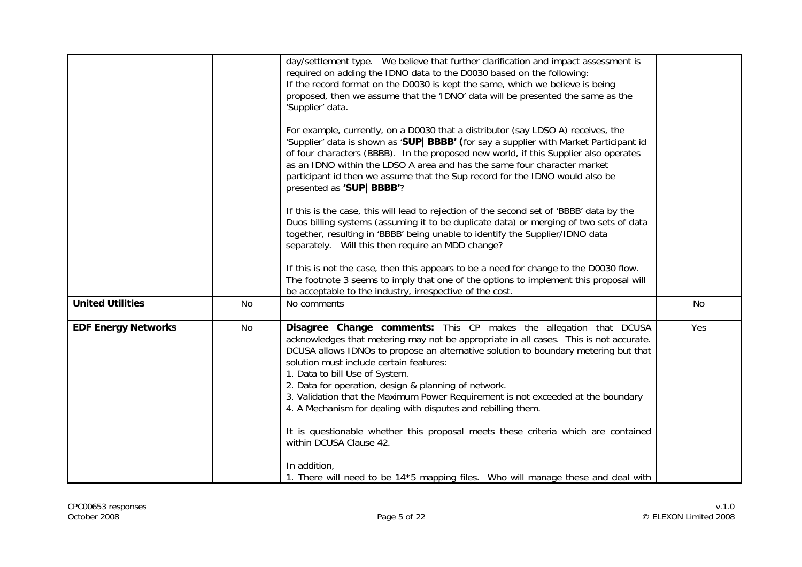|                            |           | day/settlement type. We believe that further clarification and impact assessment is<br>required on adding the IDNO data to the D0030 based on the following:<br>If the record format on the D0030 is kept the same, which we believe is being<br>proposed, then we assume that the 'IDNO' data will be presented the same as the<br>'Supplier' data.<br>For example, currently, on a D0030 that a distributor (say LDSO A) receives, the<br>'Supplier' data is shown as 'SUP   BBBB' (for say a supplier with Market Participant id<br>of four characters (BBBB). In the proposed new world, if this Supplier also operates<br>as an IDNO within the LDSO A area and has the same four character market<br>participant id then we assume that the Sup record for the IDNO would also be<br>presented as 'SUP   BBBB'?<br>If this is the case, this will lead to rejection of the second set of 'BBBB' data by the<br>Duos billing systems (assuming it to be duplicate data) or merging of two sets of data<br>together, resulting in 'BBBB' being unable to identify the Supplier/IDNO data<br>separately. Will this then require an MDD change?<br>If this is not the case, then this appears to be a need for change to the D0030 flow.<br>The footnote 3 seems to imply that one of the options to implement this proposal will<br>be acceptable to the industry, irrespective of the cost. |           |
|----------------------------|-----------|-------------------------------------------------------------------------------------------------------------------------------------------------------------------------------------------------------------------------------------------------------------------------------------------------------------------------------------------------------------------------------------------------------------------------------------------------------------------------------------------------------------------------------------------------------------------------------------------------------------------------------------------------------------------------------------------------------------------------------------------------------------------------------------------------------------------------------------------------------------------------------------------------------------------------------------------------------------------------------------------------------------------------------------------------------------------------------------------------------------------------------------------------------------------------------------------------------------------------------------------------------------------------------------------------------------------------------------------------------------------------------------------------|-----------|
| <b>United Utilities</b>    | <b>No</b> | No comments                                                                                                                                                                                                                                                                                                                                                                                                                                                                                                                                                                                                                                                                                                                                                                                                                                                                                                                                                                                                                                                                                                                                                                                                                                                                                                                                                                                     | <b>No</b> |
| <b>EDF Energy Networks</b> | No        | Disagree Change comments: This CP makes the allegation that DCUSA<br>acknowledges that metering may not be appropriate in all cases. This is not accurate.<br>DCUSA allows IDNOs to propose an alternative solution to boundary metering but that<br>solution must include certain features:<br>1. Data to bill Use of System.<br>2. Data for operation, design & planning of network.<br>3. Validation that the Maximum Power Requirement is not exceeded at the boundary<br>4. A Mechanism for dealing with disputes and rebilling them.<br>It is questionable whether this proposal meets these criteria which are contained<br>within DCUSA Clause 42.<br>In addition,<br>1. There will need to be 14*5 mapping files. Who will manage these and deal with                                                                                                                                                                                                                                                                                                                                                                                                                                                                                                                                                                                                                                  | Yes       |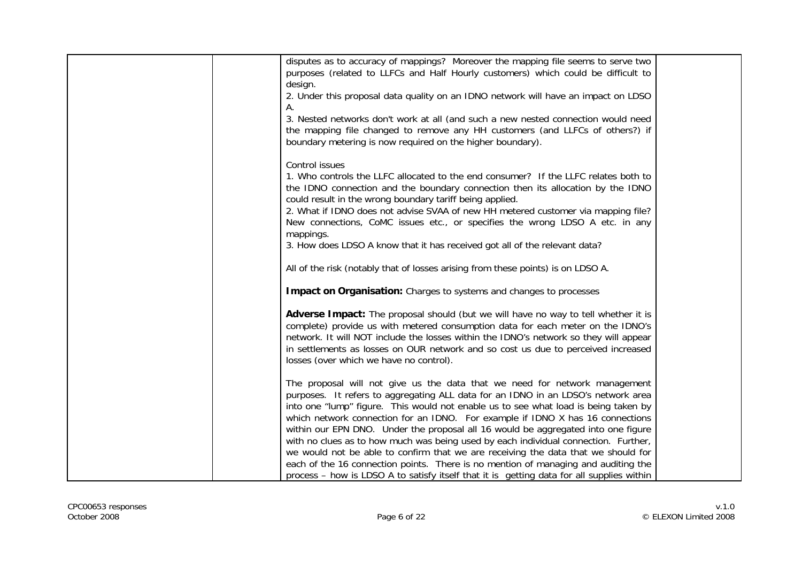| disputes as to accuracy of mappings? Moreover the mapping file seems to serve two<br>purposes (related to LLFCs and Half Hourly customers) which could be difficult to<br>design.                                                                              |  |
|----------------------------------------------------------------------------------------------------------------------------------------------------------------------------------------------------------------------------------------------------------------|--|
| 2. Under this proposal data quality on an IDNO network will have an impact on LDSO                                                                                                                                                                             |  |
| Α.                                                                                                                                                                                                                                                             |  |
| 3. Nested networks don't work at all (and such a new nested connection would need<br>the mapping file changed to remove any HH customers (and LLFCs of others?) if<br>boundary metering is now required on the higher boundary).                               |  |
| Control issues                                                                                                                                                                                                                                                 |  |
| 1. Who controls the LLFC allocated to the end consumer? If the LLFC relates both to<br>the IDNO connection and the boundary connection then its allocation by the IDNO<br>could result in the wrong boundary tariff being applied.                             |  |
| 2. What if IDNO does not advise SVAA of new HH metered customer via mapping file?<br>New connections, CoMC issues etc., or specifies the wrong LDSO A etc. in any                                                                                              |  |
| mappings.<br>3. How does LDSO A know that it has received got all of the relevant data?                                                                                                                                                                        |  |
| All of the risk (notably that of losses arising from these points) is on LDSO A.                                                                                                                                                                               |  |
| <b>Impact on Organisation:</b> Charges to systems and changes to processes                                                                                                                                                                                     |  |
| Adverse Impact: The proposal should (but we will have no way to tell whether it is<br>complete) provide us with metered consumption data for each meter on the IDNO's<br>network. It will NOT include the losses within the IDNO's network so they will appear |  |
| in settlements as losses on OUR network and so cost us due to perceived increased<br>losses (over which we have no control).                                                                                                                                   |  |
| The proposal will not give us the data that we need for network management<br>purposes. It refers to aggregating ALL data for an IDNO in an LDSO's network area                                                                                                |  |
| into one "lump" figure. This would not enable us to see what load is being taken by                                                                                                                                                                            |  |
| which network connection for an IDNO. For example if IDNO X has 16 connections                                                                                                                                                                                 |  |
| within our EPN DNO. Under the proposal all 16 would be aggregated into one figure<br>with no clues as to how much was being used by each individual connection. Further,                                                                                       |  |
| we would not be able to confirm that we are receiving the data that we should for                                                                                                                                                                              |  |
| each of the 16 connection points. There is no mention of managing and auditing the<br>process - how is LDSO A to satisfy itself that it is getting data for all supplies within                                                                                |  |
|                                                                                                                                                                                                                                                                |  |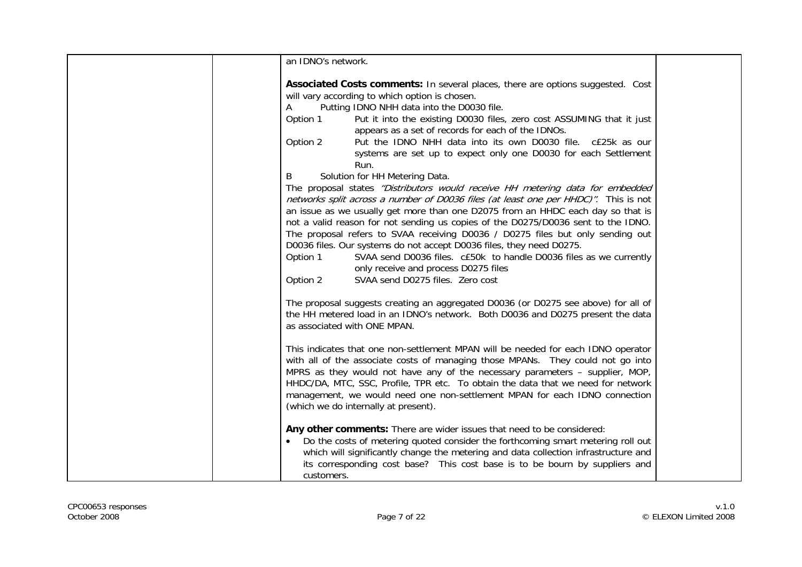| an IDNO's network.                                                                                                                                 |                                                                                                                                                                                                                                                                                                                                                                                                                                                                                                                                                                                                                                                                                                                                                                                                                                                                                                                                                                                                                                                                   |
|----------------------------------------------------------------------------------------------------------------------------------------------------|-------------------------------------------------------------------------------------------------------------------------------------------------------------------------------------------------------------------------------------------------------------------------------------------------------------------------------------------------------------------------------------------------------------------------------------------------------------------------------------------------------------------------------------------------------------------------------------------------------------------------------------------------------------------------------------------------------------------------------------------------------------------------------------------------------------------------------------------------------------------------------------------------------------------------------------------------------------------------------------------------------------------------------------------------------------------|
| will vary according to which option is chosen.<br>A<br>Option 1<br>Option 2<br>Run.<br>Solution for HH Metering Data.<br>B<br>Option 1<br>Option 2 | <b>Associated Costs comments:</b> In several places, there are options suggested. Cost<br>Putting IDNO NHH data into the D0030 file.<br>Put it into the existing D0030 files, zero cost ASSUMING that it just<br>appears as a set of records for each of the IDNOs.<br>Put the IDNO NHH data into its own D0030 file. c£25k as our<br>systems are set up to expect only one D0030 for each Settlement<br>The proposal states "Distributors would receive HH metering data for embedded<br>networks split across a number of D0036 files (at least one per HHDC)". This is not<br>an issue as we usually get more than one D2075 from an HHDC each day so that is<br>not a valid reason for not sending us copies of the D0275/D0036 sent to the IDNO.<br>The proposal refers to SVAA receiving D0036 / D0275 files but only sending out<br>D0036 files. Our systems do not accept D0036 files, they need D0275.<br>SVAA send D0036 files. c£50k to handle D0036 files as we currently<br>only receive and process D0275 files<br>SVAA send D0275 files. Zero cost |
| as associated with ONE MPAN.                                                                                                                       | The proposal suggests creating an aggregated D0036 (or D0275 see above) for all of<br>the HH metered load in an IDNO's network. Both D0036 and D0275 present the data                                                                                                                                                                                                                                                                                                                                                                                                                                                                                                                                                                                                                                                                                                                                                                                                                                                                                             |
| (which we do internally at present).                                                                                                               | This indicates that one non-settlement MPAN will be needed for each IDNO operator<br>with all of the associate costs of managing those MPANs. They could not go into<br>MPRS as they would not have any of the necessary parameters - supplier, MOP,<br>HHDC/DA, MTC, SSC, Profile, TPR etc. To obtain the data that we need for network<br>management, we would need one non-settlement MPAN for each IDNO connection                                                                                                                                                                                                                                                                                                                                                                                                                                                                                                                                                                                                                                            |
| customers.                                                                                                                                         | Any other comments: There are wider issues that need to be considered:<br>Do the costs of metering quoted consider the forthcoming smart metering roll out<br>which will significantly change the metering and data collection infrastructure and<br>its corresponding cost base? This cost base is to be bourn by suppliers and                                                                                                                                                                                                                                                                                                                                                                                                                                                                                                                                                                                                                                                                                                                                  |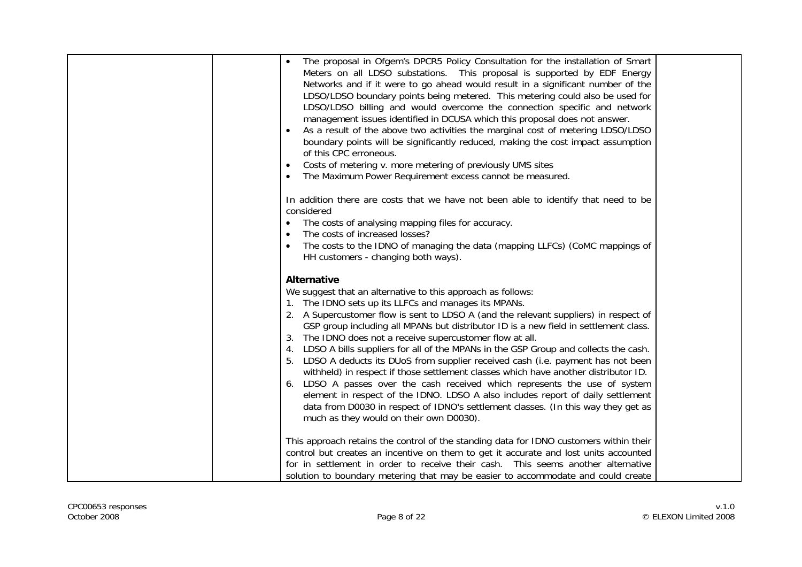| The proposal in Ofgem's DPCR5 Policy Consultation for the installation of Smart<br>Meters on all LDSO substations. This proposal is supported by EDF Energy<br>Networks and if it were to go ahead would result in a significant number of the<br>LDSO/LDSO boundary points being metered. This metering could also be used for<br>LDSO/LDSO billing and would overcome the connection specific and network<br>management issues identified in DCUSA which this proposal does not answer.<br>As a result of the above two activities the marginal cost of metering LDSO/LDSO<br>boundary points will be significantly reduced, making the cost impact assumption<br>of this CPC erroneous.<br>Costs of metering v. more metering of previously UMS sites<br>The Maximum Power Requirement excess cannot be measured.<br>In addition there are costs that we have not been able to identify that need to be<br>considered<br>The costs of analysing mapping files for accuracy.<br>The costs of increased losses?<br>$\bullet$ |  |
|-------------------------------------------------------------------------------------------------------------------------------------------------------------------------------------------------------------------------------------------------------------------------------------------------------------------------------------------------------------------------------------------------------------------------------------------------------------------------------------------------------------------------------------------------------------------------------------------------------------------------------------------------------------------------------------------------------------------------------------------------------------------------------------------------------------------------------------------------------------------------------------------------------------------------------------------------------------------------------------------------------------------------------|--|
| The costs to the IDNO of managing the data (mapping LLFCs) (CoMC mappings of                                                                                                                                                                                                                                                                                                                                                                                                                                                                                                                                                                                                                                                                                                                                                                                                                                                                                                                                                  |  |
| HH customers - changing both ways).                                                                                                                                                                                                                                                                                                                                                                                                                                                                                                                                                                                                                                                                                                                                                                                                                                                                                                                                                                                           |  |
| <b>Alternative</b>                                                                                                                                                                                                                                                                                                                                                                                                                                                                                                                                                                                                                                                                                                                                                                                                                                                                                                                                                                                                            |  |
| We suggest that an alternative to this approach as follows:                                                                                                                                                                                                                                                                                                                                                                                                                                                                                                                                                                                                                                                                                                                                                                                                                                                                                                                                                                   |  |
| 1. The IDNO sets up its LLFCs and manages its MPANs.                                                                                                                                                                                                                                                                                                                                                                                                                                                                                                                                                                                                                                                                                                                                                                                                                                                                                                                                                                          |  |
|                                                                                                                                                                                                                                                                                                                                                                                                                                                                                                                                                                                                                                                                                                                                                                                                                                                                                                                                                                                                                               |  |
| 2. A Supercustomer flow is sent to LDSO A (and the relevant suppliers) in respect of                                                                                                                                                                                                                                                                                                                                                                                                                                                                                                                                                                                                                                                                                                                                                                                                                                                                                                                                          |  |
| GSP group including all MPANs but distributor ID is a new field in settlement class.                                                                                                                                                                                                                                                                                                                                                                                                                                                                                                                                                                                                                                                                                                                                                                                                                                                                                                                                          |  |
| The IDNO does not a receive supercustomer flow at all.                                                                                                                                                                                                                                                                                                                                                                                                                                                                                                                                                                                                                                                                                                                                                                                                                                                                                                                                                                        |  |
| LDSO A bills suppliers for all of the MPANs in the GSP Group and collects the cash.<br>4.                                                                                                                                                                                                                                                                                                                                                                                                                                                                                                                                                                                                                                                                                                                                                                                                                                                                                                                                     |  |
| 5. LDSO A deducts its DUoS from supplier received cash (i.e. payment has not been                                                                                                                                                                                                                                                                                                                                                                                                                                                                                                                                                                                                                                                                                                                                                                                                                                                                                                                                             |  |
| withheld) in respect if those settlement classes which have another distributor ID.                                                                                                                                                                                                                                                                                                                                                                                                                                                                                                                                                                                                                                                                                                                                                                                                                                                                                                                                           |  |
| 6. LDSO A passes over the cash received which represents the use of system                                                                                                                                                                                                                                                                                                                                                                                                                                                                                                                                                                                                                                                                                                                                                                                                                                                                                                                                                    |  |
| element in respect of the IDNO. LDSO A also includes report of daily settlement                                                                                                                                                                                                                                                                                                                                                                                                                                                                                                                                                                                                                                                                                                                                                                                                                                                                                                                                               |  |
| data from D0030 in respect of IDNO's settlement classes. (In this way they get as                                                                                                                                                                                                                                                                                                                                                                                                                                                                                                                                                                                                                                                                                                                                                                                                                                                                                                                                             |  |
| much as they would on their own D0030).                                                                                                                                                                                                                                                                                                                                                                                                                                                                                                                                                                                                                                                                                                                                                                                                                                                                                                                                                                                       |  |
|                                                                                                                                                                                                                                                                                                                                                                                                                                                                                                                                                                                                                                                                                                                                                                                                                                                                                                                                                                                                                               |  |
| This approach retains the control of the standing data for IDNO customers within their                                                                                                                                                                                                                                                                                                                                                                                                                                                                                                                                                                                                                                                                                                                                                                                                                                                                                                                                        |  |
| control but creates an incentive on them to get it accurate and lost units accounted                                                                                                                                                                                                                                                                                                                                                                                                                                                                                                                                                                                                                                                                                                                                                                                                                                                                                                                                          |  |
| for in settlement in order to receive their cash. This seems another alternative                                                                                                                                                                                                                                                                                                                                                                                                                                                                                                                                                                                                                                                                                                                                                                                                                                                                                                                                              |  |
| solution to boundary metering that may be easier to accommodate and could create                                                                                                                                                                                                                                                                                                                                                                                                                                                                                                                                                                                                                                                                                                                                                                                                                                                                                                                                              |  |
|                                                                                                                                                                                                                                                                                                                                                                                                                                                                                                                                                                                                                                                                                                                                                                                                                                                                                                                                                                                                                               |  |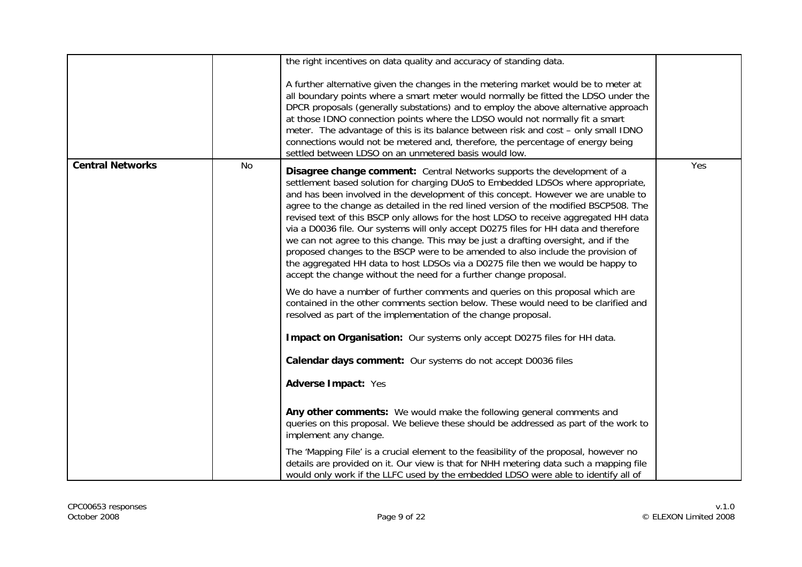|                         |    | the right incentives on data quality and accuracy of standing data.                                                                                                                                                                                                                                                                                                                                                                                                                                                                                                                                                                                                                                                                                                                                                                                                                                                                                                                                                                                                                                                                                                                                                                                                                                                                                                                                                                                                                                                                                                                                                                                                                                                                                    |     |
|-------------------------|----|--------------------------------------------------------------------------------------------------------------------------------------------------------------------------------------------------------------------------------------------------------------------------------------------------------------------------------------------------------------------------------------------------------------------------------------------------------------------------------------------------------------------------------------------------------------------------------------------------------------------------------------------------------------------------------------------------------------------------------------------------------------------------------------------------------------------------------------------------------------------------------------------------------------------------------------------------------------------------------------------------------------------------------------------------------------------------------------------------------------------------------------------------------------------------------------------------------------------------------------------------------------------------------------------------------------------------------------------------------------------------------------------------------------------------------------------------------------------------------------------------------------------------------------------------------------------------------------------------------------------------------------------------------------------------------------------------------------------------------------------------------|-----|
|                         |    | A further alternative given the changes in the metering market would be to meter at<br>all boundary points where a smart meter would normally be fitted the LDSO under the<br>DPCR proposals (generally substations) and to employ the above alternative approach<br>at those IDNO connection points where the LDSO would not normally fit a smart<br>meter. The advantage of this is its balance between risk and cost - only small IDNO<br>connections would not be metered and, therefore, the percentage of energy being<br>settled between LDSO on an unmetered basis would low.                                                                                                                                                                                                                                                                                                                                                                                                                                                                                                                                                                                                                                                                                                                                                                                                                                                                                                                                                                                                                                                                                                                                                                  |     |
| <b>Central Networks</b> | No | <b>Disagree change comment:</b> Central Networks supports the development of a<br>settlement based solution for charging DUoS to Embedded LDSOs where appropriate,<br>and has been involved in the development of this concept. However we are unable to<br>agree to the change as detailed in the red lined version of the modified BSCP508. The<br>revised text of this BSCP only allows for the host LDSO to receive aggregated HH data<br>via a D0036 file. Our systems will only accept D0275 files for HH data and therefore<br>we can not agree to this change. This may be just a drafting oversight, and if the<br>proposed changes to the BSCP were to be amended to also include the provision of<br>the aggregated HH data to host LDSOs via a D0275 file then we would be happy to<br>accept the change without the need for a further change proposal.<br>We do have a number of further comments and queries on this proposal which are<br>contained in the other comments section below. These would need to be clarified and<br>resolved as part of the implementation of the change proposal.<br>Impact on Organisation: Our systems only accept D0275 files for HH data.<br>Calendar days comment: Our systems do not accept D0036 files<br>Adverse Impact: Yes<br>Any other comments: We would make the following general comments and<br>queries on this proposal. We believe these should be addressed as part of the work to<br>implement any change.<br>The 'Mapping File' is a crucial element to the feasibility of the proposal, however no<br>details are provided on it. Our view is that for NHH metering data such a mapping file<br>would only work if the LLFC used by the embedded LDSO were able to identify all of | Yes |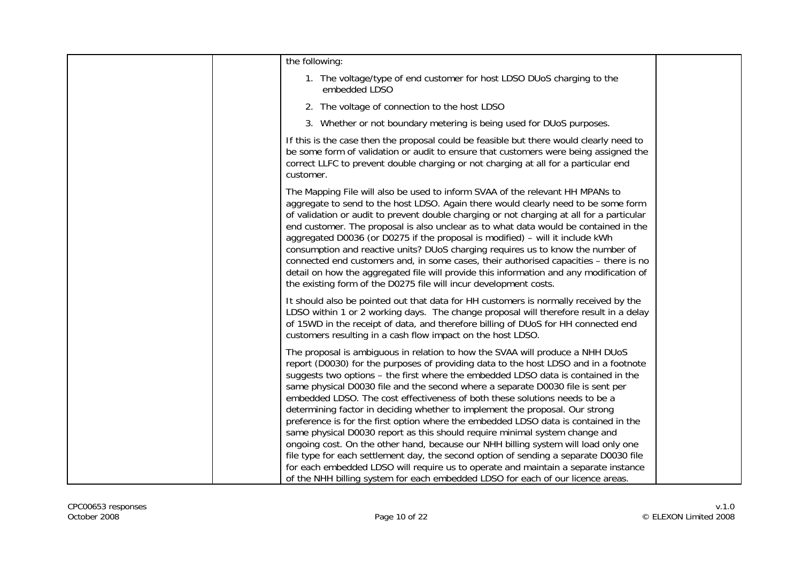| the following:                                                                                                                                                                                                                                                                                                                                                                                                                                                                                                                                                                                                                                                                                                                                                                                                                                                                                                                                                                                                                             |  |
|--------------------------------------------------------------------------------------------------------------------------------------------------------------------------------------------------------------------------------------------------------------------------------------------------------------------------------------------------------------------------------------------------------------------------------------------------------------------------------------------------------------------------------------------------------------------------------------------------------------------------------------------------------------------------------------------------------------------------------------------------------------------------------------------------------------------------------------------------------------------------------------------------------------------------------------------------------------------------------------------------------------------------------------------|--|
| 1. The voltage/type of end customer for host LDSO DUoS charging to the<br>embedded LDSO                                                                                                                                                                                                                                                                                                                                                                                                                                                                                                                                                                                                                                                                                                                                                                                                                                                                                                                                                    |  |
| 2. The voltage of connection to the host LDSO                                                                                                                                                                                                                                                                                                                                                                                                                                                                                                                                                                                                                                                                                                                                                                                                                                                                                                                                                                                              |  |
| 3. Whether or not boundary metering is being used for DUoS purposes.                                                                                                                                                                                                                                                                                                                                                                                                                                                                                                                                                                                                                                                                                                                                                                                                                                                                                                                                                                       |  |
| If this is the case then the proposal could be feasible but there would clearly need to<br>be some form of validation or audit to ensure that customers were being assigned the<br>correct LLFC to prevent double charging or not charging at all for a particular end<br>customer.                                                                                                                                                                                                                                                                                                                                                                                                                                                                                                                                                                                                                                                                                                                                                        |  |
| The Mapping File will also be used to inform SVAA of the relevant HH MPANs to<br>aggregate to send to the host LDSO. Again there would clearly need to be some form<br>of validation or audit to prevent double charging or not charging at all for a particular<br>end customer. The proposal is also unclear as to what data would be contained in the<br>aggregated D0036 (or D0275 if the proposal is modified) - will it include kWh<br>consumption and reactive units? DUoS charging requires us to know the number of<br>connected end customers and, in some cases, their authorised capacities - there is no<br>detail on how the aggregated file will provide this information and any modification of<br>the existing form of the D0275 file will incur development costs.                                                                                                                                                                                                                                                      |  |
| It should also be pointed out that data for HH customers is normally received by the<br>LDSO within 1 or 2 working days. The change proposal will therefore result in a delay<br>of 15WD in the receipt of data, and therefore billing of DUoS for HH connected end<br>customers resulting in a cash flow impact on the host LDSO.                                                                                                                                                                                                                                                                                                                                                                                                                                                                                                                                                                                                                                                                                                         |  |
| The proposal is ambiguous in relation to how the SVAA will produce a NHH DUoS<br>report (D0030) for the purposes of providing data to the host LDSO and in a footnote<br>suggests two options - the first where the embedded LDSO data is contained in the<br>same physical D0030 file and the second where a separate D0030 file is sent per<br>embedded LDSO. The cost effectiveness of both these solutions needs to be a<br>determining factor in deciding whether to implement the proposal. Our strong<br>preference is for the first option where the embedded LDSO data is contained in the<br>same physical D0030 report as this should require minimal system change and<br>ongoing cost. On the other hand, because our NHH billing system will load only one<br>file type for each settlement day, the second option of sending a separate D0030 file<br>for each embedded LDSO will require us to operate and maintain a separate instance<br>of the NHH billing system for each embedded LDSO for each of our licence areas. |  |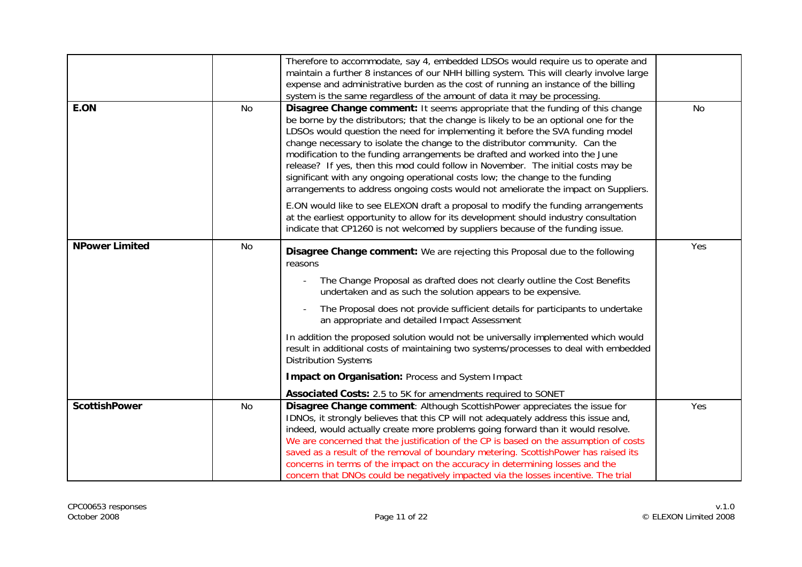|                       |    | Therefore to accommodate, say 4, embedded LDSOs would require us to operate and<br>maintain a further 8 instances of our NHH billing system. This will clearly involve large<br>expense and administrative burden as the cost of running an instance of the billing<br>system is the same regardless of the amount of data it may be processing.                                                                                                                                                                                                                                                                                                                                                                                                                                                                                                                    |     |
|-----------------------|----|---------------------------------------------------------------------------------------------------------------------------------------------------------------------------------------------------------------------------------------------------------------------------------------------------------------------------------------------------------------------------------------------------------------------------------------------------------------------------------------------------------------------------------------------------------------------------------------------------------------------------------------------------------------------------------------------------------------------------------------------------------------------------------------------------------------------------------------------------------------------|-----|
| E.ON                  | No | Disagree Change comment: It seems appropriate that the funding of this change<br>be borne by the distributors; that the change is likely to be an optional one for the<br>LDSOs would question the need for implementing it before the SVA funding model<br>change necessary to isolate the change to the distributor community. Can the<br>modification to the funding arrangements be drafted and worked into the June<br>release? If yes, then this mod could follow in November. The initial costs may be<br>significant with any ongoing operational costs low; the change to the funding<br>arrangements to address ongoing costs would not ameliorate the impact on Suppliers.<br>E.ON would like to see ELEXON draft a proposal to modify the funding arrangements<br>at the earliest opportunity to allow for its development should industry consultation | No  |
|                       |    | indicate that CP1260 is not welcomed by suppliers because of the funding issue.                                                                                                                                                                                                                                                                                                                                                                                                                                                                                                                                                                                                                                                                                                                                                                                     |     |
| <b>NPower Limited</b> | No | Disagree Change comment: We are rejecting this Proposal due to the following<br>reasons<br>The Change Proposal as drafted does not clearly outline the Cost Benefits<br>undertaken and as such the solution appears to be expensive.<br>The Proposal does not provide sufficient details for participants to undertake<br>an appropriate and detailed Impact Assessment<br>In addition the proposed solution would not be universally implemented which would<br>result in additional costs of maintaining two systems/processes to deal with embedded<br><b>Distribution Systems</b><br>Impact on Organisation: Process and System Impact<br>Associated Costs: 2.5 to 5K for amendments required to SONET                                                                                                                                                          | Yes |
| <b>ScottishPower</b>  | No | Disagree Change comment: Although ScottishPower appreciates the issue for<br>IDNOs, it strongly believes that this CP will not adequately address this issue and,<br>indeed, would actually create more problems going forward than it would resolve.<br>We are concerned that the justification of the CP is based on the assumption of costs<br>saved as a result of the removal of boundary metering. ScottishPower has raised its<br>concerns in terms of the impact on the accuracy in determining losses and the<br>concern that DNOs could be negatively impacted via the losses incentive. The trial                                                                                                                                                                                                                                                        | Yes |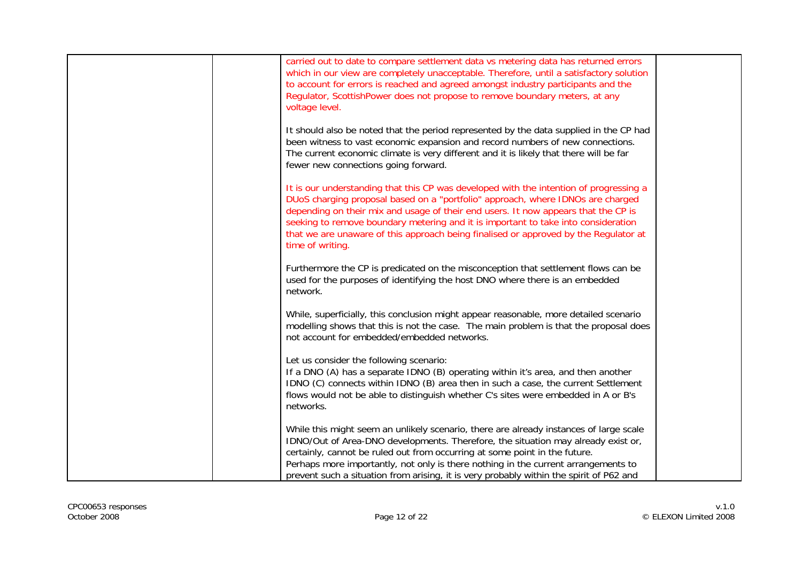| carried out to date to compare settlement data vs metering data has returned errors                                                                                            |  |
|--------------------------------------------------------------------------------------------------------------------------------------------------------------------------------|--|
| which in our view are completely unacceptable. Therefore, until a satisfactory solution                                                                                        |  |
| to account for errors is reached and agreed amongst industry participants and the                                                                                              |  |
| Regulator, ScottishPower does not propose to remove boundary meters, at any                                                                                                    |  |
| voltage level.                                                                                                                                                                 |  |
| It should also be noted that the period represented by the data supplied in the CP had                                                                                         |  |
| been witness to vast economic expansion and record numbers of new connections.                                                                                                 |  |
| The current economic climate is very different and it is likely that there will be far                                                                                         |  |
| fewer new connections going forward.                                                                                                                                           |  |
| It is our understanding that this CP was developed with the intention of progressing a                                                                                         |  |
| DUoS charging proposal based on a "portfolio" approach, where IDNOs are charged                                                                                                |  |
| depending on their mix and usage of their end users. It now appears that the CP is<br>seeking to remove boundary metering and it is important to take into consideration       |  |
| that we are unaware of this approach being finalised or approved by the Regulator at                                                                                           |  |
| time of writing.                                                                                                                                                               |  |
|                                                                                                                                                                                |  |
| Furthermore the CP is predicated on the misconception that settlement flows can be<br>used for the purposes of identifying the host DNO where there is an embedded             |  |
| network.                                                                                                                                                                       |  |
|                                                                                                                                                                                |  |
| While, superficially, this conclusion might appear reasonable, more detailed scenario<br>modelling shows that this is not the case. The main problem is that the proposal does |  |
| not account for embedded/embedded networks.                                                                                                                                    |  |
|                                                                                                                                                                                |  |
| Let us consider the following scenario:                                                                                                                                        |  |
| If a DNO (A) has a separate IDNO (B) operating within it's area, and then another<br>IDNO (C) connects within IDNO (B) area then in such a case, the current Settlement        |  |
| flows would not be able to distinguish whether C's sites were embedded in A or B's                                                                                             |  |
| networks.                                                                                                                                                                      |  |
| While this might seem an unlikely scenario, there are already instances of large scale                                                                                         |  |
| IDNO/Out of Area-DNO developments. Therefore, the situation may already exist or,                                                                                              |  |
| certainly, cannot be ruled out from occurring at some point in the future.                                                                                                     |  |
| Perhaps more importantly, not only is there nothing in the current arrangements to                                                                                             |  |
| prevent such a situation from arising, it is very probably within the spirit of P62 and                                                                                        |  |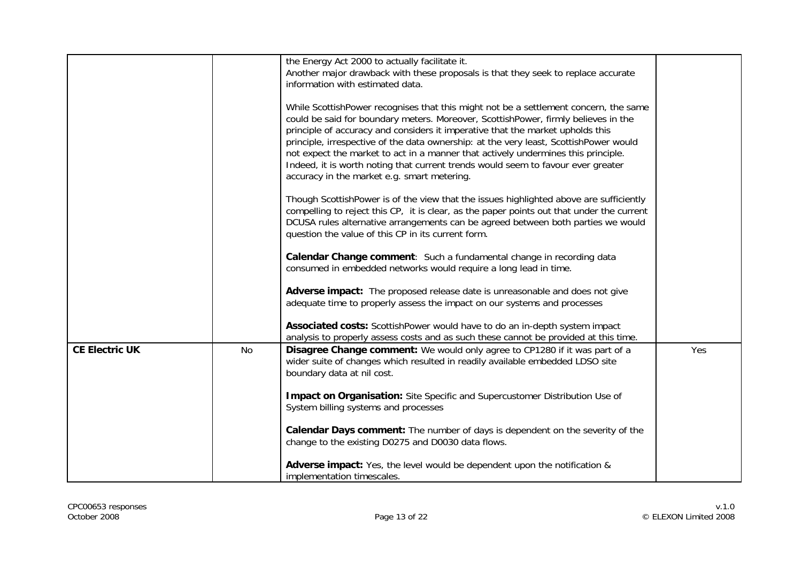|                       |    | the Energy Act 2000 to actually facilitate it.                                                                                                                             |     |
|-----------------------|----|----------------------------------------------------------------------------------------------------------------------------------------------------------------------------|-----|
|                       |    | Another major drawback with these proposals is that they seek to replace accurate                                                                                          |     |
|                       |    | information with estimated data.                                                                                                                                           |     |
|                       |    | While ScottishPower recognises that this might not be a settlement concern, the same                                                                                       |     |
|                       |    | could be said for boundary meters. Moreover, ScottishPower, firmly believes in the                                                                                         |     |
|                       |    | principle of accuracy and considers it imperative that the market upholds this                                                                                             |     |
|                       |    | principle, irrespective of the data ownership: at the very least, ScottishPower would<br>not expect the market to act in a manner that actively undermines this principle. |     |
|                       |    | Indeed, it is worth noting that current trends would seem to favour ever greater                                                                                           |     |
|                       |    | accuracy in the market e.g. smart metering.                                                                                                                                |     |
|                       |    | Though ScottishPower is of the view that the issues highlighted above are sufficiently                                                                                     |     |
|                       |    | compelling to reject this CP, it is clear, as the paper points out that under the current                                                                                  |     |
|                       |    | DCUSA rules alternative arrangements can be agreed between both parties we would                                                                                           |     |
|                       |    | question the value of this CP in its current form.                                                                                                                         |     |
|                       |    | Calendar Change comment: Such a fundamental change in recording data                                                                                                       |     |
|                       |    | consumed in embedded networks would require a long lead in time.                                                                                                           |     |
|                       |    | Adverse impact: The proposed release date is unreasonable and does not give                                                                                                |     |
|                       |    | adequate time to properly assess the impact on our systems and processes                                                                                                   |     |
|                       |    | Associated costs: ScottishPower would have to do an in-depth system impact                                                                                                 |     |
|                       |    | analysis to properly assess costs and as such these cannot be provided at this time.                                                                                       |     |
| <b>CE Electric UK</b> | No | Disagree Change comment: We would only agree to CP1280 if it was part of a                                                                                                 | Yes |
|                       |    | wider suite of changes which resulted in readily available embedded LDSO site                                                                                              |     |
|                       |    | boundary data at nil cost.                                                                                                                                                 |     |
|                       |    | Impact on Organisation: Site Specific and Supercustomer Distribution Use of                                                                                                |     |
|                       |    | System billing systems and processes                                                                                                                                       |     |
|                       |    |                                                                                                                                                                            |     |
|                       |    | Calendar Days comment: The number of days is dependent on the severity of the                                                                                              |     |
|                       |    | change to the existing D0275 and D0030 data flows.                                                                                                                         |     |
|                       |    | Adverse impact: Yes, the level would be dependent upon the notification &                                                                                                  |     |
|                       |    | implementation timescales.                                                                                                                                                 |     |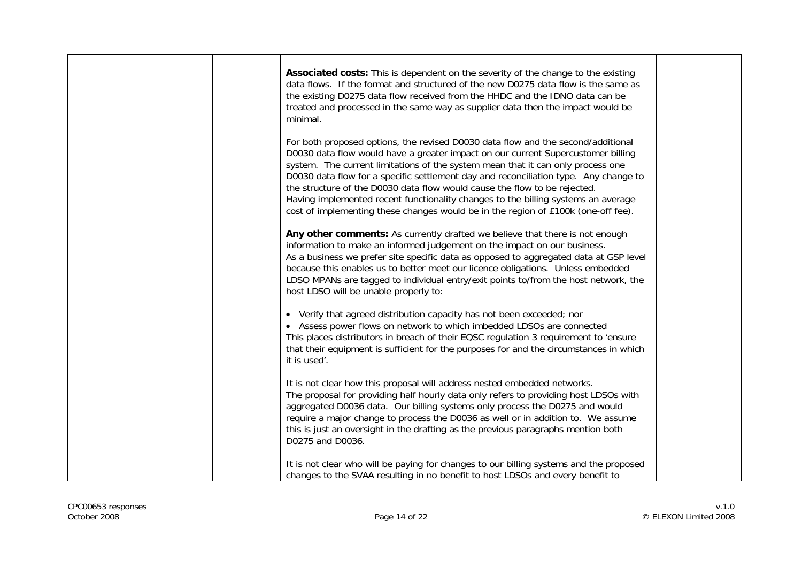| <b>Associated costs:</b> This is dependent on the severity of the change to the existing<br>data flows. If the format and structured of the new D0275 data flow is the same as<br>the existing D0275 data flow received from the HHDC and the IDNO data can be<br>treated and processed in the same way as supplier data then the impact would be<br>minimal.                                                                                                                                                                                                                                          |  |
|--------------------------------------------------------------------------------------------------------------------------------------------------------------------------------------------------------------------------------------------------------------------------------------------------------------------------------------------------------------------------------------------------------------------------------------------------------------------------------------------------------------------------------------------------------------------------------------------------------|--|
| For both proposed options, the revised D0030 data flow and the second/additional<br>D0030 data flow would have a greater impact on our current Supercustomer billing<br>system. The current limitations of the system mean that it can only process one<br>D0030 data flow for a specific settlement day and reconciliation type. Any change to<br>the structure of the D0030 data flow would cause the flow to be rejected.<br>Having implemented recent functionality changes to the billing systems an average<br>cost of implementing these changes would be in the region of £100k (one-off fee). |  |
| Any other comments: As currently drafted we believe that there is not enough<br>information to make an informed judgement on the impact on our business.<br>As a business we prefer site specific data as opposed to aggregated data at GSP level<br>because this enables us to better meet our licence obligations. Unless embedded<br>LDSO MPANs are tagged to individual entry/exit points to/from the host network, the<br>host LDSO will be unable properly to:                                                                                                                                   |  |
| • Verify that agreed distribution capacity has not been exceeded; nor<br>• Assess power flows on network to which imbedded LDSOs are connected<br>This places distributors in breach of their EQSC regulation 3 requirement to 'ensure<br>that their equipment is sufficient for the purposes for and the circumstances in which<br>it is used'.                                                                                                                                                                                                                                                       |  |
| It is not clear how this proposal will address nested embedded networks.<br>The proposal for providing half hourly data only refers to providing host LDSOs with<br>aggregated D0036 data. Our billing systems only process the D0275 and would<br>require a major change to process the D0036 as well or in addition to. We assume<br>this is just an oversight in the drafting as the previous paragraphs mention both<br>D0275 and D0036.                                                                                                                                                           |  |
| It is not clear who will be paying for changes to our billing systems and the proposed<br>changes to the SVAA resulting in no benefit to host LDSOs and every benefit to                                                                                                                                                                                                                                                                                                                                                                                                                               |  |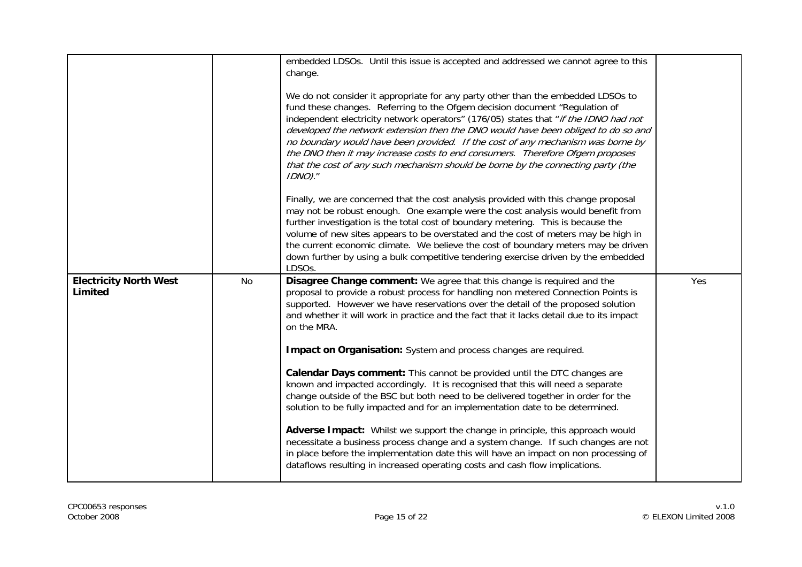|                                          |    | embedded LDSOs. Until this issue is accepted and addressed we cannot agree to this<br>change.                                                                                                                                                                                                                                                                                                                                                                                                                                                                                                                   |     |
|------------------------------------------|----|-----------------------------------------------------------------------------------------------------------------------------------------------------------------------------------------------------------------------------------------------------------------------------------------------------------------------------------------------------------------------------------------------------------------------------------------------------------------------------------------------------------------------------------------------------------------------------------------------------------------|-----|
|                                          |    | We do not consider it appropriate for any party other than the embedded LDSOs to<br>fund these changes. Referring to the Ofgem decision document "Regulation of<br>independent electricity network operators" (176/05) states that "if the IDNO had not<br>developed the network extension then the DNO would have been obliged to do so and<br>no boundary would have been provided. If the cost of any mechanism was borne by<br>the DNO then it may increase costs to end consumers. Therefore Ofgem proposes<br>that the cost of any such mechanism should be borne by the connecting party (the<br>IDNO)." |     |
|                                          |    | Finally, we are concerned that the cost analysis provided with this change proposal<br>may not be robust enough. One example were the cost analysis would benefit from<br>further investigation is the total cost of boundary metering. This is because the<br>volume of new sites appears to be overstated and the cost of meters may be high in<br>the current economic climate. We believe the cost of boundary meters may be driven<br>down further by using a bulk competitive tendering exercise driven by the embedded<br>LDSOs.                                                                         |     |
| <b>Electricity North West</b><br>Limited | No | Disagree Change comment: We agree that this change is required and the<br>proposal to provide a robust process for handling non metered Connection Points is<br>supported. However we have reservations over the detail of the proposed solution<br>and whether it will work in practice and the fact that it lacks detail due to its impact<br>on the MRA.<br>Impact on Organisation: System and process changes are required.                                                                                                                                                                                 | Yes |
|                                          |    | Calendar Days comment: This cannot be provided until the DTC changes are<br>known and impacted accordingly. It is recognised that this will need a separate<br>change outside of the BSC but both need to be delivered together in order for the<br>solution to be fully impacted and for an implementation date to be determined.                                                                                                                                                                                                                                                                              |     |
|                                          |    | Adverse Impact: Whilst we support the change in principle, this approach would<br>necessitate a business process change and a system change. If such changes are not<br>in place before the implementation date this will have an impact on non processing of<br>dataflows resulting in increased operating costs and cash flow implications.                                                                                                                                                                                                                                                                   |     |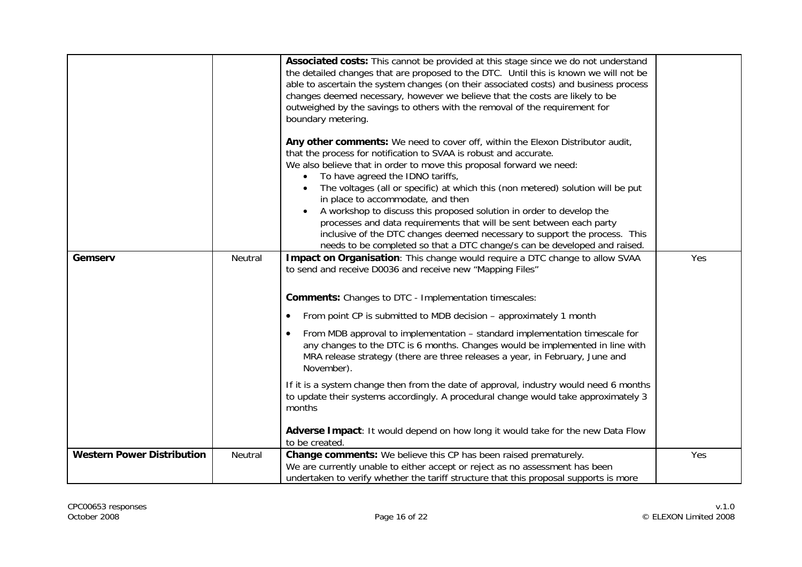|                                   |         | Associated costs: This cannot be provided at this stage since we do not understand<br>the detailed changes that are proposed to the DTC. Until this is known we will not be<br>able to ascertain the system changes (on their associated costs) and business process<br>changes deemed necessary, however we believe that the costs are likely to be<br>outweighed by the savings to others with the removal of the requirement for<br>boundary metering. |     |
|-----------------------------------|---------|-----------------------------------------------------------------------------------------------------------------------------------------------------------------------------------------------------------------------------------------------------------------------------------------------------------------------------------------------------------------------------------------------------------------------------------------------------------|-----|
|                                   |         | Any other comments: We need to cover off, within the Elexon Distributor audit,<br>that the process for notification to SVAA is robust and accurate.<br>We also believe that in order to move this proposal forward we need:                                                                                                                                                                                                                               |     |
|                                   |         | To have agreed the IDNO tariffs,<br>$\bullet$<br>The voltages (all or specific) at which this (non metered) solution will be put<br>in place to accommodate, and then                                                                                                                                                                                                                                                                                     |     |
|                                   |         | A workshop to discuss this proposed solution in order to develop the<br>processes and data requirements that will be sent between each party<br>inclusive of the DTC changes deemed necessary to support the process. This                                                                                                                                                                                                                                |     |
|                                   |         | needs to be completed so that a DTC change/s can be developed and raised.                                                                                                                                                                                                                                                                                                                                                                                 |     |
| Gemserv                           | Neutral | Impact on Organisation: This change would require a DTC change to allow SVAA<br>to send and receive D0036 and receive new "Mapping Files"                                                                                                                                                                                                                                                                                                                 | Yes |
|                                   |         | <b>Comments:</b> Changes to DTC - Implementation timescales:                                                                                                                                                                                                                                                                                                                                                                                              |     |
|                                   |         | From point CP is submitted to MDB decision – approximately 1 month                                                                                                                                                                                                                                                                                                                                                                                        |     |
|                                   |         | From MDB approval to implementation – standard implementation timescale for<br>$\bullet$<br>any changes to the DTC is 6 months. Changes would be implemented in line with<br>MRA release strategy (there are three releases a year, in February, June and<br>November).                                                                                                                                                                                   |     |
|                                   |         | If it is a system change then from the date of approval, industry would need 6 months<br>to update their systems accordingly. A procedural change would take approximately 3<br>months                                                                                                                                                                                                                                                                    |     |
|                                   |         | Adverse Impact: It would depend on how long it would take for the new Data Flow<br>to be created.                                                                                                                                                                                                                                                                                                                                                         |     |
| <b>Western Power Distribution</b> | Neutral | Change comments: We believe this CP has been raised prematurely.                                                                                                                                                                                                                                                                                                                                                                                          | Yes |
|                                   |         | We are currently unable to either accept or reject as no assessment has been                                                                                                                                                                                                                                                                                                                                                                              |     |
|                                   |         | undertaken to verify whether the tariff structure that this proposal supports is more                                                                                                                                                                                                                                                                                                                                                                     |     |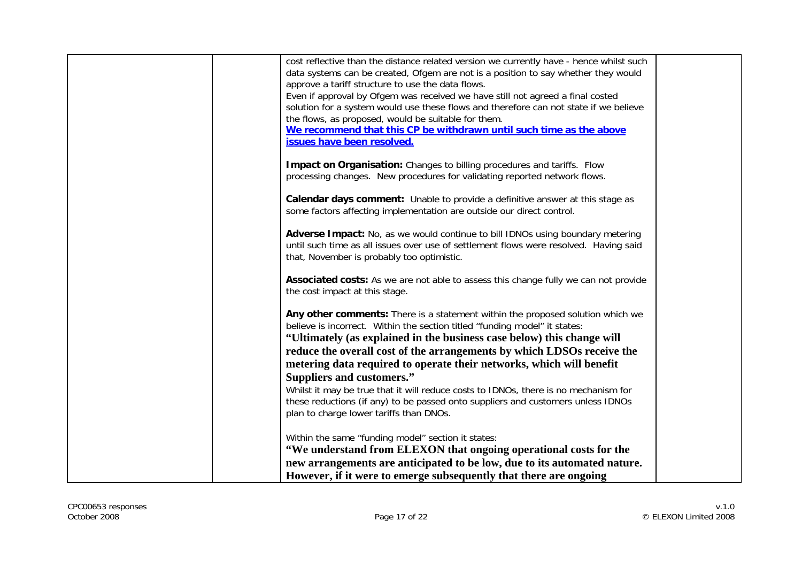| cost reflective than the distance related version we currently have - hence whilst such                                                                                 |  |
|-------------------------------------------------------------------------------------------------------------------------------------------------------------------------|--|
| data systems can be created, Ofgem are not is a position to say whether they would                                                                                      |  |
| approve a tariff structure to use the data flows.                                                                                                                       |  |
| Even if approval by Ofgem was received we have still not agreed a final costed                                                                                          |  |
| solution for a system would use these flows and therefore can not state if we believe                                                                                   |  |
| the flows, as proposed, would be suitable for them.                                                                                                                     |  |
| We recommend that this CP be withdrawn until such time as the above                                                                                                     |  |
| issues have been resolved.                                                                                                                                              |  |
|                                                                                                                                                                         |  |
| Impact on Organisation: Changes to billing procedures and tariffs. Flow                                                                                                 |  |
| processing changes. New procedures for validating reported network flows.                                                                                               |  |
|                                                                                                                                                                         |  |
| <b>Calendar days comment:</b> Unable to provide a definitive answer at this stage as                                                                                    |  |
| some factors affecting implementation are outside our direct control.                                                                                                   |  |
|                                                                                                                                                                         |  |
| Adverse Impact: No, as we would continue to bill IDNOs using boundary metering<br>until such time as all issues over use of settlement flows were resolved. Having said |  |
| that, November is probably too optimistic.                                                                                                                              |  |
|                                                                                                                                                                         |  |
| Associated costs: As we are not able to assess this change fully we can not provide                                                                                     |  |
| the cost impact at this stage.                                                                                                                                          |  |
|                                                                                                                                                                         |  |
| Any other comments: There is a statement within the proposed solution which we                                                                                          |  |
| believe is incorrect. Within the section titled "funding model" it states:                                                                                              |  |
| "Ultimately (as explained in the business case below) this change will                                                                                                  |  |
| reduce the overall cost of the arrangements by which LDSOs receive the                                                                                                  |  |
| metering data required to operate their networks, which will benefit                                                                                                    |  |
| <b>Suppliers and customers."</b>                                                                                                                                        |  |
| Whilst it may be true that it will reduce costs to IDNOs, there is no mechanism for                                                                                     |  |
| these reductions (if any) to be passed onto suppliers and customers unless IDNOs                                                                                        |  |
| plan to charge lower tariffs than DNOs.                                                                                                                                 |  |
|                                                                                                                                                                         |  |
| Within the same "funding model" section it states:                                                                                                                      |  |
| "We understand from ELEXON that ongoing operational costs for the                                                                                                       |  |
| new arrangements are anticipated to be low, due to its automated nature.                                                                                                |  |
| However, if it were to emerge subsequently that there are ongoing                                                                                                       |  |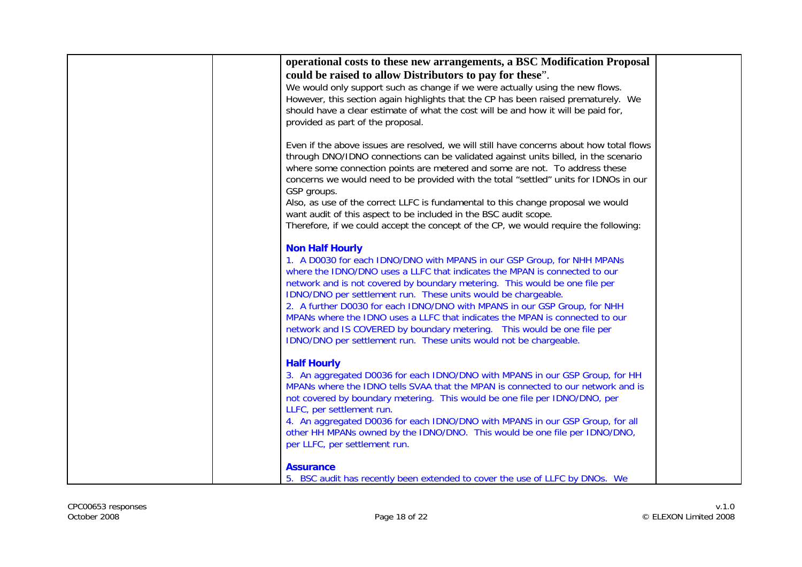| operational costs to these new arrangements, a BSC Modification Proposal                 |  |
|------------------------------------------------------------------------------------------|--|
|                                                                                          |  |
| could be raised to allow Distributors to pay for these".                                 |  |
| We would only support such as change if we were actually using the new flows.            |  |
| However, this section again highlights that the CP has been raised prematurely. We       |  |
| should have a clear estimate of what the cost will be and how it will be paid for,       |  |
| provided as part of the proposal.                                                        |  |
|                                                                                          |  |
| Even if the above issues are resolved, we will still have concerns about how total flows |  |
| through DNO/IDNO connections can be validated against units billed, in the scenario      |  |
| where some connection points are metered and some are not. To address these              |  |
| concerns we would need to be provided with the total "settled" units for IDNOs in our    |  |
|                                                                                          |  |
| GSP groups.                                                                              |  |
| Also, as use of the correct LLFC is fundamental to this change proposal we would         |  |
| want audit of this aspect to be included in the BSC audit scope.                         |  |
| Therefore, if we could accept the concept of the CP, we would require the following:     |  |
|                                                                                          |  |
| <b>Non Half Hourly</b>                                                                   |  |
| 1. A D0030 for each IDNO/DNO with MPANS in our GSP Group, for NHH MPANs                  |  |
| where the IDNO/DNO uses a LLFC that indicates the MPAN is connected to our               |  |
| network and is not covered by boundary metering. This would be one file per              |  |
| IDNO/DNO per settlement run. These units would be chargeable.                            |  |
| 2. A further D0030 for each IDNO/DNO with MPANS in our GSP Group, for NHH                |  |
| MPANs where the IDNO uses a LLFC that indicates the MPAN is connected to our             |  |
| network and IS COVERED by boundary metering.  This would be one file per                 |  |
| IDNO/DNO per settlement run. These units would not be chargeable.                        |  |
|                                                                                          |  |
| <b>Half Hourly</b>                                                                       |  |
| 3. An aggregated D0036 for each IDNO/DNO with MPANS in our GSP Group, for HH             |  |
| MPANs where the IDNO tells SVAA that the MPAN is connected to our network and is         |  |
|                                                                                          |  |
| not covered by boundary metering. This would be one file per IDNO/DNO, per               |  |
| LLFC, per settlement run.                                                                |  |
| 4. An aggregated D0036 for each IDNO/DNO with MPANS in our GSP Group, for all            |  |
| other HH MPANs owned by the IDNO/DNO. This would be one file per IDNO/DNO,               |  |
| per LLFC, per settlement run.                                                            |  |
|                                                                                          |  |
| <b>Assurance</b>                                                                         |  |
| 5. BSC audit has recently been extended to cover the use of LLFC by DNOs. We             |  |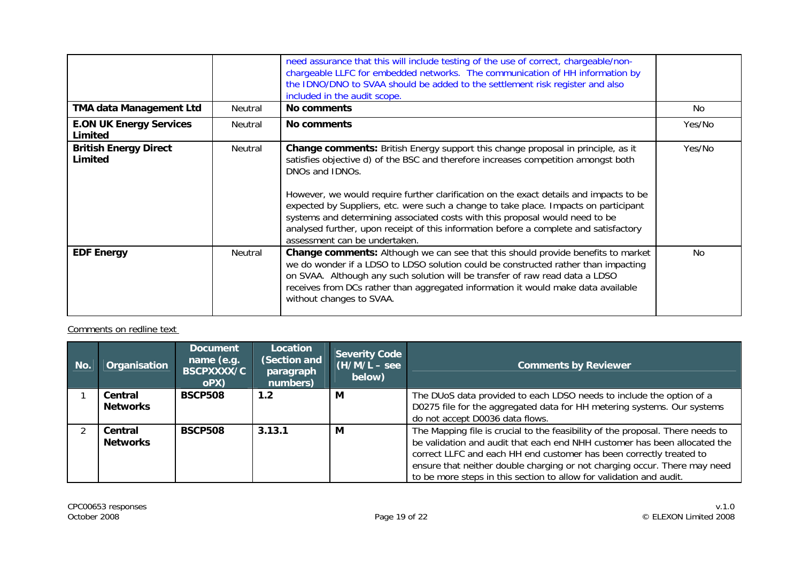|                                           |         | need assurance that this will include testing of the use of correct, chargeable/non-<br>chargeable LLFC for embedded networks. The communication of HH information by<br>the IDNO/DNO to SVAA should be added to the settlement risk register and also<br>included in the audit scope.                                                                                                                                                                                                                                                                                                       |           |
|-------------------------------------------|---------|----------------------------------------------------------------------------------------------------------------------------------------------------------------------------------------------------------------------------------------------------------------------------------------------------------------------------------------------------------------------------------------------------------------------------------------------------------------------------------------------------------------------------------------------------------------------------------------------|-----------|
| <b>TMA data Management Ltd</b>            | Neutral | No comments                                                                                                                                                                                                                                                                                                                                                                                                                                                                                                                                                                                  | No.       |
| <b>E.ON UK Energy Services</b><br>Limited | Neutral | No comments                                                                                                                                                                                                                                                                                                                                                                                                                                                                                                                                                                                  | Yes/No    |
| <b>British Energy Direct</b><br>Limited   | Neutral | <b>Change comments:</b> British Energy support this change proposal in principle, as it<br>satisfies objective d) of the BSC and therefore increases competition amongst both<br>DNOs and IDNOs.<br>However, we would require further clarification on the exact details and impacts to be<br>expected by Suppliers, etc. were such a change to take place. Impacts on participant<br>systems and determining associated costs with this proposal would need to be<br>analysed further, upon receipt of this information before a complete and satisfactory<br>assessment can be undertaken. | Yes/No    |
| <b>EDF Energy</b>                         | Neutral | <b>Change comments:</b> Although we can see that this should provide benefits to market<br>we do wonder if a LDSO to LDSO solution could be constructed rather than impacting<br>on SVAA. Although any such solution will be transfer of raw read data a LDSO<br>receives from DCs rather than aggregated information it would make data available<br>without changes to SVAA.                                                                                                                                                                                                               | <b>No</b> |

## Comments on redline text

| No. | Organisation               | <b>Document</b><br>name (e.g.<br><b>BSCPXXXX/C</b><br>oPX) | Location<br>(Section and<br>paragraph<br>numbers) | <b>Severity Code</b><br>$(H/M/L - see$<br>below) | <b>Comments by Reviewer</b>                                                                                                                                                                                                                                                                                                                                                            |
|-----|----------------------------|------------------------------------------------------------|---------------------------------------------------|--------------------------------------------------|----------------------------------------------------------------------------------------------------------------------------------------------------------------------------------------------------------------------------------------------------------------------------------------------------------------------------------------------------------------------------------------|
|     | Central<br><b>Networks</b> | <b>BSCP508</b>                                             | 1.2                                               | М                                                | The DUoS data provided to each LDSO needs to include the option of a<br>D0275 file for the aggregated data for HH metering systems. Our systems<br>do not accept D0036 data flows.                                                                                                                                                                                                     |
|     | Central<br><b>Networks</b> | <b>BSCP508</b>                                             | 3.13.1                                            | M                                                | The Mapping file is crucial to the feasibility of the proposal. There needs to<br>be validation and audit that each end NHH customer has been allocated the<br>correct LLFC and each HH end customer has been correctly treated to<br>ensure that neither double charging or not charging occur. There may need<br>to be more steps in this section to allow for validation and audit. |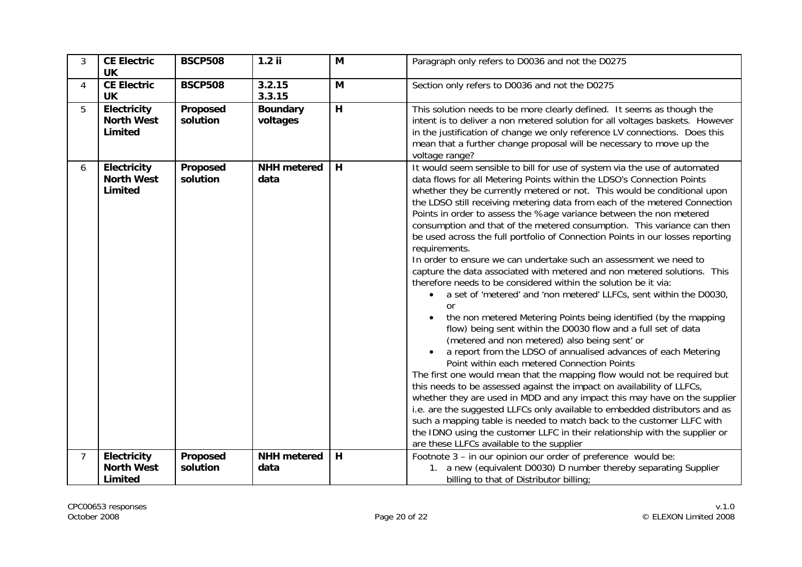| 3 | <b>CE Electric</b><br><b>UK</b>                    | <b>BSCP508</b>       | $1.2$ ii                    | M | Paragraph only refers to D0036 and not the D0275                                                                                                                                                                                                                                                                                                                                                                                                                                                                                                                                                                                                                                                                                                                                                                                                                                                                                                                                                                                                                                                                                                                                                                                                                                                                                                                                                                                                                                                                                                                                                                                                                                                                        |
|---|----------------------------------------------------|----------------------|-----------------------------|---|-------------------------------------------------------------------------------------------------------------------------------------------------------------------------------------------------------------------------------------------------------------------------------------------------------------------------------------------------------------------------------------------------------------------------------------------------------------------------------------------------------------------------------------------------------------------------------------------------------------------------------------------------------------------------------------------------------------------------------------------------------------------------------------------------------------------------------------------------------------------------------------------------------------------------------------------------------------------------------------------------------------------------------------------------------------------------------------------------------------------------------------------------------------------------------------------------------------------------------------------------------------------------------------------------------------------------------------------------------------------------------------------------------------------------------------------------------------------------------------------------------------------------------------------------------------------------------------------------------------------------------------------------------------------------------------------------------------------------|
| 4 | <b>CE Electric</b><br><b>UK</b>                    | <b>BSCP508</b>       | 3.2.15<br>3.3.15            | M | Section only refers to D0036 and not the D0275                                                                                                                                                                                                                                                                                                                                                                                                                                                                                                                                                                                                                                                                                                                                                                                                                                                                                                                                                                                                                                                                                                                                                                                                                                                                                                                                                                                                                                                                                                                                                                                                                                                                          |
| 5 | <b>Electricity</b><br><b>North West</b><br>Limited | Proposed<br>solution | <b>Boundary</b><br>voltages | H | This solution needs to be more clearly defined. It seems as though the<br>intent is to deliver a non metered solution for all voltages baskets. However<br>in the justification of change we only reference LV connections. Does this<br>mean that a further change proposal will be necessary to move up the<br>voltage range?                                                                                                                                                                                                                                                                                                                                                                                                                                                                                                                                                                                                                                                                                                                                                                                                                                                                                                                                                                                                                                                                                                                                                                                                                                                                                                                                                                                         |
| 6 | Electricity<br><b>North West</b><br>Limited        | Proposed<br>solution | <b>NHH</b> metered<br>data  | H | It would seem sensible to bill for use of system via the use of automated<br>data flows for all Metering Points within the LDSO's Connection Points<br>whether they be currently metered or not. This would be conditional upon<br>the LDSO still receiving metering data from each of the metered Connection<br>Points in order to assess the %age variance between the non metered<br>consumption and that of the metered consumption. This variance can then<br>be used across the full portfolio of Connection Points in our losses reporting<br>requirements.<br>In order to ensure we can undertake such an assessment we need to<br>capture the data associated with metered and non metered solutions. This<br>therefore needs to be considered within the solution be it via:<br>• a set of 'metered' and 'non metered' LLFCs, sent within the D0030,<br><b>or</b><br>the non metered Metering Points being identified (by the mapping<br>$\bullet$<br>flow) being sent within the D0030 flow and a full set of data<br>(metered and non metered) also being sent' or<br>a report from the LDSO of annualised advances of each Metering<br>Point within each metered Connection Points<br>The first one would mean that the mapping flow would not be required but<br>this needs to be assessed against the impact on availability of LLFCs,<br>whether they are used in MDD and any impact this may have on the supplier<br>i.e. are the suggested LLFCs only available to embedded distributors and as<br>such a mapping table is needed to match back to the customer LLFC with<br>the IDNO using the customer LLFC in their relationship with the supplier or<br>are these LLFCs available to the supplier |
| 7 | <b>Electricity</b>                                 | Proposed             | <b>NHH</b> metered          | H | Footnote 3 - in our opinion our order of preference would be:                                                                                                                                                                                                                                                                                                                                                                                                                                                                                                                                                                                                                                                                                                                                                                                                                                                                                                                                                                                                                                                                                                                                                                                                                                                                                                                                                                                                                                                                                                                                                                                                                                                           |
|   | <b>North West</b><br>Limited                       | solution             | data                        |   | 1. a new (equivalent D0030) D number thereby separating Supplier<br>billing to that of Distributor billing;                                                                                                                                                                                                                                                                                                                                                                                                                                                                                                                                                                                                                                                                                                                                                                                                                                                                                                                                                                                                                                                                                                                                                                                                                                                                                                                                                                                                                                                                                                                                                                                                             |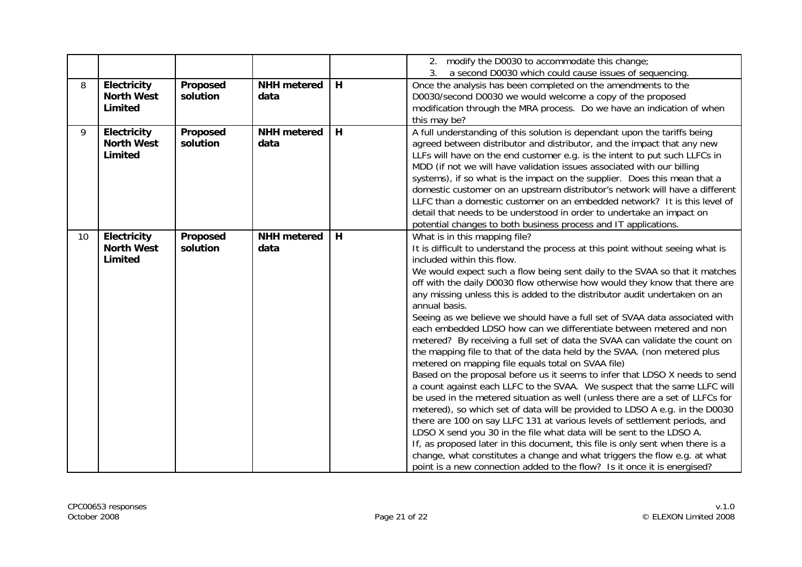|    |                   |          |                    |   | 2. modify the D0030 to accommodate this change;                                |
|----|-------------------|----------|--------------------|---|--------------------------------------------------------------------------------|
|    |                   |          |                    |   | a second D0030 which could cause issues of sequencing.                         |
| 8  | Electricity       | Proposed | <b>NHH</b> metered | H | Once the analysis has been completed on the amendments to the                  |
|    | <b>North West</b> | solution | data               |   | D0030/second D0030 we would welcome a copy of the proposed                     |
|    | <b>Limited</b>    |          |                    |   | modification through the MRA process. Do we have an indication of when         |
|    |                   |          |                    |   | this may be?                                                                   |
| 9  | Electricity       | Proposed | <b>NHH</b> metered | H | A full understanding of this solution is dependant upon the tariffs being      |
|    | <b>North West</b> | solution | data               |   | agreed between distributor and distributor, and the impact that any new        |
|    | <b>Limited</b>    |          |                    |   | LLFs will have on the end customer e.g. is the intent to put such LLFCs in     |
|    |                   |          |                    |   | MDD (if not we will have validation issues associated with our billing         |
|    |                   |          |                    |   | systems), if so what is the impact on the supplier. Does this mean that a      |
|    |                   |          |                    |   | domestic customer on an upstream distributor's network will have a different   |
|    |                   |          |                    |   | LLFC than a domestic customer on an embedded network? It is this level of      |
|    |                   |          |                    |   | detail that needs to be understood in order to undertake an impact on          |
|    |                   |          |                    |   | potential changes to both business process and IT applications.                |
| 10 | Electricity       | Proposed | <b>NHH</b> metered | H | What is in this mapping file?                                                  |
|    | <b>North West</b> | solution | data               |   | It is difficult to understand the process at this point without seeing what is |
|    | Limited           |          |                    |   | included within this flow.                                                     |
|    |                   |          |                    |   | We would expect such a flow being sent daily to the SVAA so that it matches    |
|    |                   |          |                    |   | off with the daily D0030 flow otherwise how would they know that there are     |
|    |                   |          |                    |   | any missing unless this is added to the distributor audit undertaken on an     |
|    |                   |          |                    |   | annual basis.                                                                  |
|    |                   |          |                    |   | Seeing as we believe we should have a full set of SVAA data associated with    |
|    |                   |          |                    |   | each embedded LDSO how can we differentiate between metered and non            |
|    |                   |          |                    |   | metered? By receiving a full set of data the SVAA can validate the count on    |
|    |                   |          |                    |   | the mapping file to that of the data held by the SVAA. (non metered plus       |
|    |                   |          |                    |   | metered on mapping file equals total on SVAA file)                             |
|    |                   |          |                    |   | Based on the proposal before us it seems to infer that LDSO X needs to send    |
|    |                   |          |                    |   | a count against each LLFC to the SVAA. We suspect that the same LLFC will      |
|    |                   |          |                    |   | be used in the metered situation as well (unless there are a set of LLFCs for  |
|    |                   |          |                    |   | metered), so which set of data will be provided to LDSO A e.g. in the D0030    |
|    |                   |          |                    |   | there are 100 on say LLFC 131 at various levels of settlement periods, and     |
|    |                   |          |                    |   | LDSO X send you 30 in the file what data will be sent to the LDSO A.           |
|    |                   |          |                    |   | If, as proposed later in this document, this file is only sent when there is a |
|    |                   |          |                    |   | change, what constitutes a change and what triggers the flow e.g. at what      |
|    |                   |          |                    |   | point is a new connection added to the flow? Is it once it is energised?       |